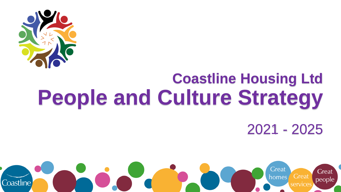

# **Coastline Housing Ltd People and Culture Strategy**

2021 - 2025

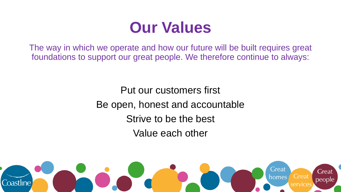## **Our Values**

The way in which we operate and how our future will be built requires great foundations to support our great people. We therefore continue to always:

> Put our customers first Be open, honest and accountable Strive to be the best Value each other

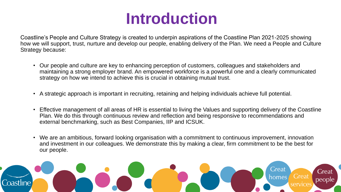## **Introduction**

Coastline's People and Culture Strategy is created to underpin aspirations of the Coastline Plan 2021-2025 showing how we will support, trust, nurture and develop our people, enabling delivery of the Plan. We need a People and Culture Strategy because:

- Our people and culture are key to enhancing perception of customers, colleagues and stakeholders and maintaining a strong employer brand. An empowered workforce is a powerful one and a clearly communicated strategy on how we intend to achieve this is crucial in obtaining mutual trust.
- A strategic approach is important in recruiting, retaining and helping individuals achieve full potential.
- Effective management of all areas of HR is essential to living the Values and supporting delivery of the Coastline Plan. We do this through continuous review and reflection and being responsive to recommendations and external benchmarking, such as Best Companies, IIP and ICSUK.
- We are an ambitious, forward looking organisation with a commitment to continuous improvement, innovation and investment in our colleagues. We demonstrate this by making a clear, firm commitment to be the best for our people.

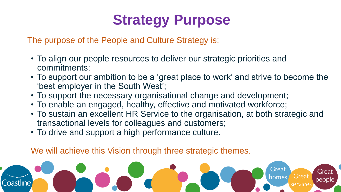## **Strategy Purpose**

The purpose of the People and Culture Strategy is:

- To align our people resources to deliver our strategic priorities and commitments;
- To support our ambition to be a 'great place to work' and strive to become the 'best employer in the South West';
- To support the necessary organisational change and development;
- To enable an engaged, healthy, effective and motivated workforce;
- To sustain an excellent HR Service to the organisation, at both strategic and transactional levels for colleagues and customers;
- To drive and support a high performance culture.

We will achieve this Vision through three strategic themes.

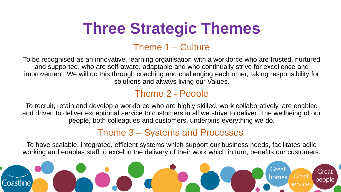## **Three Strategic Themes**

### Theme 1 – Culture

To be recognised as an innovative, learning organisation with a workforce who are trusted, nurtured and supported, who are self-aware, adaptable and who continually strive for excellence and improvement. We will do this through coaching and challenging each other, taking responsibility for solutions and always living our Values.

### Theme 2 - People

To recruit, retain and develop a workforce who are highly skilled, work collaboratively, are enabled and driven to deliver exceptional service to customers in all we strive to deliver. The wellbeing of our people, both colleagues and customers, underpins everything we do.

### Theme 3 – Systems and Processes

To have scalable, integrated, efficient systems which support our business needs, facilitates agile working and enables staff to excel in the delivery of their work which in turn, benefits our customers.

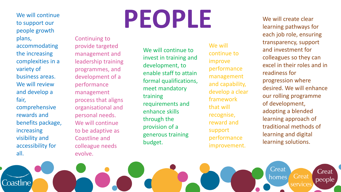to support our people growth plans,

accommodating the increasing complexities in a variety of business areas. We will review and develop a fair, comprehensive rewards and benefits package, increasing visibility and accessibility for

all.

Coastline

Continuing to provide targeted management and leadership training programmes, and development of a performance management process that aligns organisational and personal needs. We will continue to be adaptive as Coastline and colleague needs evolve.

# **We will continue**<br>to support our<br> $\begin{bmatrix} P & P \\ P & P \end{bmatrix}$

We will continue to invest in training and development, to enable staff to attain formal qualifications, meet mandatory training requirements and enhance skills through the provision of a generous training budget.

We will continue to improve performance management and capability, develop a clear framework that will recognise, reward and support performance improvement.

We will create clear learning pathways for each job role, ensuring transparency, support and investment for colleagues so they can excel in their roles and in readiness for progression where desired. We will enhance our rolling programme of development, adopting a blended learning approach of traditional methods of learning and digital learning solutions.

Great

homes

Great

services

**Great**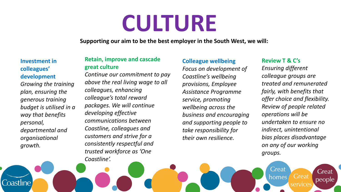# **CULTURE**

**Supporting our aim to be the best employer in the South West, we will:**

#### **Investment in colleagues' development**

*Growing the training plan, ensuring the generous training budget is utilised in a way that benefits personal, departmental and organisational growth.*

Coastline

#### **Retain, improve and cascade great culture**

*Continue our commitment to pay above the real living wage to all colleagues, enhancing colleague's total reward packages. We will continue developing effective communications between Coastline, colleagues and customers and strive for a consistently respectful and trusted workforce as 'One Coastline'.*

#### **Colleague wellbeing**

*Focus on development of Coastline's wellbeing provisions, Employee Assistance Programme service, promoting wellbeing across the business and encouraging and supporting people to take responsibility for their own resilience.*

#### **Review T & C's**

Great

homes

*Ensuring different colleague groups are treated and remunerated fairly, with benefits that offer choice and flexibility. Review of people related operations will be undertaken to ensure no indirect, unintentional bias places disadvantage on any of our working groups.*

**Great** 

services

**Great**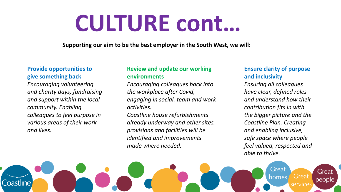# **CULTURE cont…**

**Supporting our aim to be the best employer in the South West, we will:**

#### **Provide opportunities to give something back**

*Encouraging volunteering and charity days, fundraising and support within the local community. Enabling colleagues to feel purpose in various areas of their work and lives.*

Coastline

#### **Review and update our working environments**

*Encouraging colleagues back into the workplace after Covid, engaging in social, team and work activities.* 

*Coastline house refurbishments already underway and other sites, provisions and facilities will be identified and improvements made where needed.*

#### **Ensure clarity of purpose and inclusivity**

*Ensuring all colleagues have clear, defined roles and understand how their contribution fits in with the bigger picture and the Coastline Plan. Creating and enabling inclusive, safe space where people feel valued, respected and able to thrive.*

Great

homes

**Great** 

service:

Great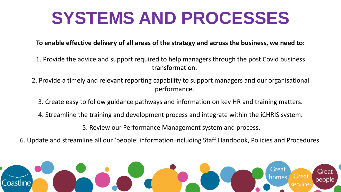## **SYSTEMS AND PROCESSES**

#### **To enable effective delivery of all areas of the strategy and across the business, we need to:**

- 1. Provide the advice and support required to help managers through the post Covid business transformation.
- 2. Provide a timely and relevant reporting capability to support managers and our organisational performance.
	- 3. Create easy to follow guidance pathways and information on key HR and training matters.
	- 4. Streamline the training and development process and integrate within the iCHRIS system.
		- 5. Review our Performance Management system and process.
- 6. Update and streamline all our 'people' information including Staff Handbook, Policies and Procedures.

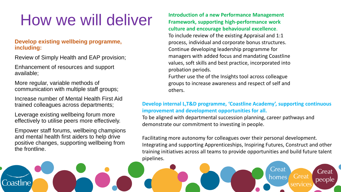## How we will deliver

#### **Develop existing wellbeing programme, including:**

Review of Simply Health and EAP provision;

Enhancement of resources and support available;

More regular, variable methods of communication with multiple staff groups;

Increase number of Mental Health First Aid trained colleagues across departments;

Leverage existing wellbeing forum more effectively to utilise peers more effectively.

Empower staff forums, wellbeing champions and mental health first aiders to help drive positive changes, supporting wellbeing from the frontline.

Coastline

**Introduction of a new Performance Management Framework, supporting high-performance work culture and encourage behavioural excellence**. To include review of the existing Appraisal and 1:1 process, individual and corporate bonus structures. Continue developing leadership programme for managers with added focus and mandating Coastline values, soft skills and best practice, incorporated into probation periods.

Further use the of the Insights tool across colleague groups to increase awareness and respect of self and others.

#### **Develop internal L,T&D programme, 'Coastline Academy', supporting continuous improvement and development opportunities for all.**

To be aligned with departmental succession planning, career pathways and demonstrate our commitment to investing in people.

Facilitating more autonomy for colleagues over their personal development. Integrating and supporting Apprenticeships, Inspiring Futures, Construct and other training initiatives across all teams to provide opportunities and build future talent pipelines.

Great

homes

**Great** 

services

Great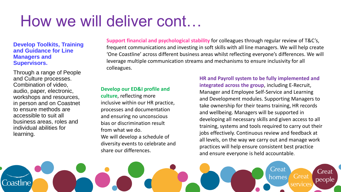## How we will deliver cont…

#### **Develop Toolkits, Training and Guidance for Line Managers and Supervisors.**

Through a range of People and Culture processes. Combination of video, audio, paper, electronic, workshops and resources, in person and on Coastnet to ensure methods are accessible to suit all business areas, roles and individual abilities for learning.

**Support financial and psychological stability** for colleagues through regular review of T&C's, frequent communications and investing in soft skills with all line managers. We will help create 'One Coastline' across different business areas whilst reflecting everyone's differences. We will leverage multiple communication streams and mechanisms to ensure inclusivity for all colleagues.

#### **Develop our ED&I profile and**

**culture**, reflecting more inclusive within our HR practice, processes and documentation and ensuring no unconscious bias or discrimination result from what we do. We will develop a schedule of diversity events to celebrate and share our differences.

**HR and Payroll system to be fully implemented and integrated across the group**, including E-Recruit, Manager and Employee Self-Service and Learning and Development modules. Supporting Managers to take ownership for their teams training, HR records and wellbeing. Managers will be supported in developing all necessary skills and given access to all training, systems and tools required to carry out their jobs effectively. Continuous review and feedback at all levels, on the way we carry out and manage work practices will help ensure consistent best practice and ensure everyone is held accountable.

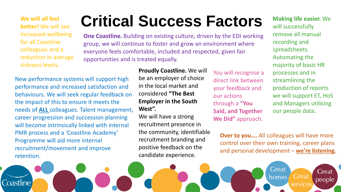**better!** We will see increased wellbeing for all Coastline colleagues and a reduction in average sickness levels.

Coastline

New performance systems will support high performance and increased satisfaction and behaviours. We will seek regular feedback on the impact of this to ensure it meets the needs of **ALL** colleagues. Talent management, career progression and succession planning will become intrinsically linked with internal PMR process and a 'Coastline Academy' Programme will aid more internal recruitment/movement and improve retention.

## **Critical Success Factors We will all feel**

**One Coastline.** Building on existing culture, driven by the EDI working group, we will continue to foster and grow an environment where everyone feels comfortable, included and respected, given fair opportunities and is treated equally.

> **Proudly Coastline.** We will be an employer of choice in the local market and considered **"The Best Employer in the South West".**

We will have a strong recruitment presence in the community, identifiable recruitment branding and positive feedback on the candidate experience.

You will recognise a direct link between your feedback and our actions through a **"You Said, and Together We Did"** approach.

**Making life easier.** We will successfully remove all manual recording and spreadsheets. Automating the majority of basic HR processes and in streamlining the production of reports we will support ET, HoS and Managers utilising our people data**.** 

**Great** 

people

**Over to you….** All colleagues will have more control over their own training, career plans and personal development – **we're listening.**

Great

homes

**Great** 

services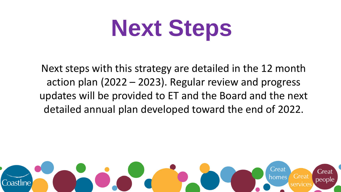# **Next Steps**

Next steps with this strategy are detailed in the 12 month action plan (2022 – 2023). Regular review and progress updates will be provided to ET and the Board and the next detailed annual plan developed toward the end of 2022.